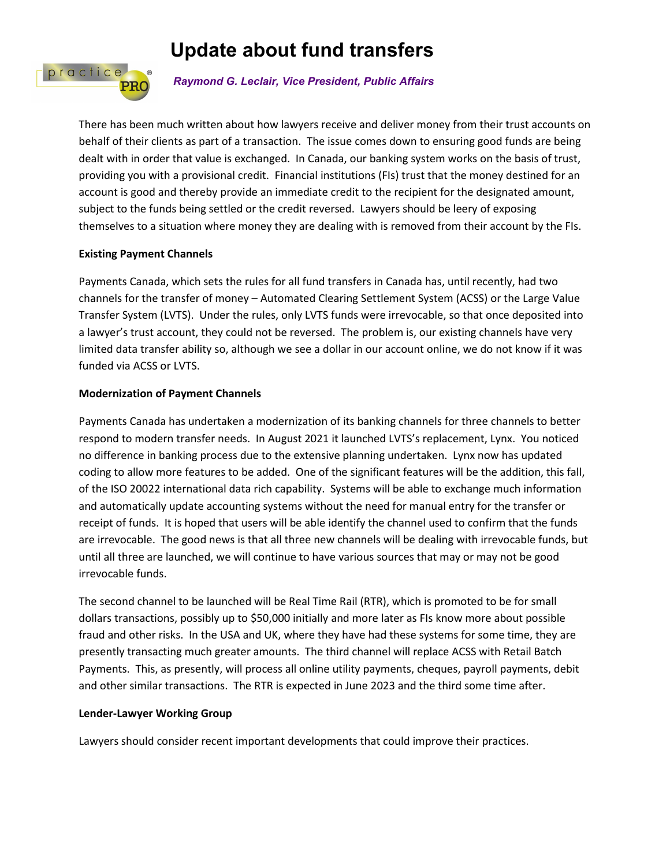# **Update about fund transfers**



*Raymond G. Leclair, Vice President, Public Affairs*

There has been much written about how lawyers receive and deliver money from their trust accounts on behalf of their clients as part of a transaction. The issue comes down to ensuring good funds are being dealt with in order that value is exchanged. In Canada, our banking system works on the basis of trust, providing you with a provisional credit. Financial institutions (FIs) trust that the money destined for an account is good and thereby provide an immediate credit to the recipient for the designated amount, subject to the funds being settled or the credit reversed. Lawyers should be leery of exposing themselves to a situation where money they are dealing with is removed from their account by the FIs.

# **Existing Payment Channels**

Payments Canada, which sets the rules for all fund transfers in Canada has, until recently, had two channels for the transfer of money – Automated Clearing Settlement System (ACSS) or the Large Value Transfer System (LVTS). Under the rules, only LVTS funds were irrevocable, so that once deposited into a lawyer's trust account, they could not be reversed. The problem is, our existing channels have very limited data transfer ability so, although we see a dollar in our account online, we do not know if it was funded via ACSS or LVTS.

# **Modernization of Payment Channels**

Payments Canada has undertaken a modernization of its banking channels for three channels to better respond to modern transfer needs. In August 2021 it launched LVTS's replacement, Lynx. You noticed no difference in banking process due to the extensive planning undertaken. Lynx now has updated coding to allow more features to be added. One of the significant features will be the addition, this fall, of the ISO 20022 international data rich capability. Systems will be able to exchange much information and automatically update accounting systems without the need for manual entry for the transfer or receipt of funds. It is hoped that users will be able identify the channel used to confirm that the funds are irrevocable. The good news is that all three new channels will be dealing with irrevocable funds, but until all three are launched, we will continue to have various sources that may or may not be good irrevocable funds.

The second channel to be launched will be Real Time Rail (RTR), which is promoted to be for small dollars transactions, possibly up to \$50,000 initially and more later as FIs know more about possible fraud and other risks. In the USA and UK, where they have had these systems for some time, they are presently transacting much greater amounts. The third channel will replace ACSS with Retail Batch Payments. This, as presently, will process all online utility payments, cheques, payroll payments, debit and other similar transactions. The RTR is expected in June 2023 and the third some time after.

### **Lender-Lawyer Working Group**

Lawyers should consider recent important developments that could improve their practices.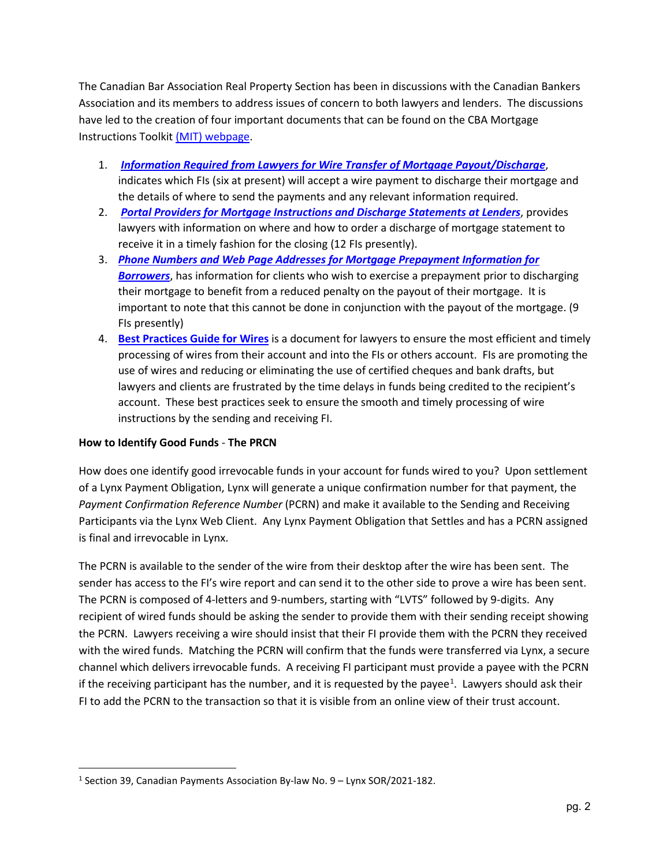The Canadian Bar Association Real Property Section has been in discussions with the Canadian Bankers Association and its members to address issues of concern to both lawyers and lenders. The discussions have led to the creation of four important documents that can be found on the CBA Mortgage Instructions Toolki[t \(MIT\) webpage.](https://www.cba.org/Publications-Resources/Practice-Tools/Mortgage-Instructions-Toolkit)

- 1. *[Information Required from Lawyers for Wire Transfer of Mortgage Payout/Discharge](https://www.cba.org/Publications-Resources/Practice-Tools/Mortgage-Instructions-Toolkit/Financial-Institution-accepting-wire-payments-for)*, indicates which FIs (six at present) will accept a wire payment to discharge their mortgage and the details of where to send the payments and any relevant information required.
- 2. *[Portal Providers for Mortgage Instructions and Discharge Statements at Lenders](https://www.cba.org/Publications-Resources/Practice-Tools/Mortgage-Instructions-Toolkit/Information-on-where-to-find-mortgage-instructions)*, provides lawyers with information on where and how to order a discharge of mortgage statement to receive it in a timely fashion for the closing (12 FIs presently).
- 3. *Phone Numbers and Web Page [Addresses for Mortgage Prepayment Information for](https://www.cba.org/Publications-Resources/Practice-Tools/Mortgage-Instructions-Toolkit/Mortgage-pre-payment-information-for-borrowers-(to)  [Borrowers](https://www.cba.org/Publications-Resources/Practice-Tools/Mortgage-Instructions-Toolkit/Mortgage-pre-payment-information-for-borrowers-(to)*, has information for clients who wish to exercise a prepayment prior to discharging their mortgage to benefit from a reduced penalty on the payout of their mortgage. It is important to note that this cannot be done in conjunction with the payout of the mortgage. (9 FIs presently)
- 4. **[Best Practices Guide for Wires](https://www.cba.org/Publications-Resources/Practice-Tools/Mortgage-Instructions-Toolkit/Wire-transfer-best-practices)** is a document for lawyers to ensure the most efficient and timely processing of wires from their account and into the FIs or others account. FIs are promoting the use of wires and reducing or eliminating the use of certified cheques and bank drafts, but lawyers and clients are frustrated by the time delays in funds being credited to the recipient's account. These best practices seek to ensure the smooth and timely processing of wire instructions by the sending and receiving FI.

### **How to Identify Good Funds** - **The PRCN**

How does one identify good irrevocable funds in your account for funds wired to you? Upon settlement of a Lynx Payment Obligation, Lynx will generate a unique confirmation number for that payment, the *Payment Confirmation Reference Number* (PCRN) and make it available to the Sending and Receiving Participants via the Lynx Web Client. Any Lynx Payment Obligation that Settles and has a PCRN assigned is final and irrevocable in Lynx.

The PCRN is available to the sender of the wire from their desktop after the wire has been sent. The sender has access to the FI's wire report and can send it to the other side to prove a wire has been sent. The PCRN is composed of 4-letters and 9-numbers, starting with "LVTS" followed by 9-digits. Any recipient of wired funds should be asking the sender to provide them with their sending receipt showing the PCRN. Lawyers receiving a wire should insist that their FI provide them with the PCRN they received with the wired funds. Matching the PCRN will confirm that the funds were transferred via Lynx, a secure channel which delivers irrevocable funds. A receiving FI participant must provide a payee with the PCRN if the receiving participant has the number, and it is requested by the payee<sup>[1](#page-1-0)</sup>. Lawyers should ask their FI to add the PCRN to the transaction so that it is visible from an online view of their trust account.

<span id="page-1-0"></span><sup>1</sup> Section 39, Canadian Payments Association By-law No. 9 – Lynx SOR/2021-182.